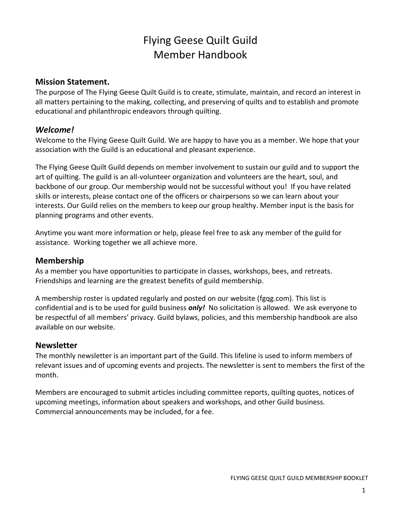# Flying Geese Quilt Guild Member Handbook

#### **Mission Statement.**

The purpose of The Flying Geese Quilt Guild is to create, stimulate, maintain, and record an interest in all matters pertaining to the making, collecting, and preserving of quilts and to establish and promote educational and philanthropic endeavors through quilting.

# *Welcome!*

Welcome to the Flying Geese Quilt Guild. We are happy to have you as a member. We hope that your association with the Guild is an educational and pleasant experience.

The Flying Geese Quilt Guild depends on member involvement to sustain our guild and to support the art of quilting. The guild is an all-volunteer organization and volunteers are the heart, soul, and backbone of our group. Our membership would not be successful without you! If you have related skills or interests, please contact one of the officers or chairpersons so we can learn about your interests. Our Guild relies on the members to keep our group healthy. Member input is the basis for planning programs and other events.

Anytime you want more information or help, please feel free to ask any member of the guild for assistance. Working together we all achieve more.

## **Membership**

As a member you have opportunities to participate in classes, workshops, bees, and retreats. Friendships and learning are the greatest benefits of guild membership.

A membership roster is updated regularly and posted on our website (fgqg.com). This list is confidential and is to be used for guild business *only!* No solicitation is allowed. We ask everyone to be respectful of all members' privacy. Guild bylaws, policies, and this membership handbook are also available on our website.

#### **Newsletter**

The monthly newsletter is an important part of the Guild. This lifeline is used to inform members of relevant issues and of upcoming events and projects. The newsletter is sent to members the first of the month.

Members are encouraged to submit articles including committee reports, quilting quotes, notices of upcoming meetings, information about speakers and workshops, and other Guild business. Commercial announcements may be included, for a fee.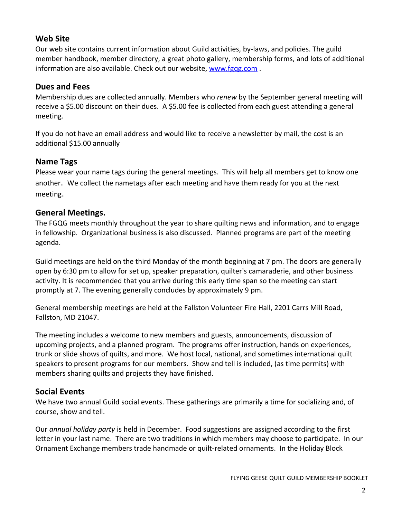## **Web Site**

Our web site contains current information about Guild activities, by-laws, and policies. The guild member handbook, member directory, a great photo gallery, membership forms, and lots of additional information are also available. Check out our website, [www.fgqg.com](http://www.fgqg.com/) .

#### **Dues and Fees**

Membership dues are collected annually. Members who *renew* by the September general meeting will receive a \$5.00 discount on their dues. A \$5.00 fee is collected from each guest attending a general meeting.

If you do not have an email address and would like to receive a newsletter by mail, the cost is an additional \$15.00 annually

#### **Name Tags**

Please wear your name tags during the general meetings. This will help all members get to know one another.We collect the nametags after each meeting and have them ready for you at the next meeting.

#### **General Meetings.**

The FGQG meets monthly throughout the year to share quilting news and information, and to engage in fellowship. Organizational business is also discussed. Planned programs are part of the meeting agenda.

Guild meetings are held on the third Monday of the month beginning at 7 pm. The doors are generally open by 6:30 pm to allow for set up, speaker preparation, quilter's camaraderie, and other business activity. It is recommended that you arrive during this early time span so the meeting can start promptly at 7. The evening generally concludes by approximately 9 pm.

General membership meetings are held at the Fallston Volunteer Fire Hall, 2201 Carrs Mill Road, Fallston, MD 21047.

The meeting includes a welcome to new members and guests, announcements, discussion of upcoming projects, and a planned program. The programs offer instruction, hands on experiences, trunk or slide shows of quilts, and more. We host local, national, and sometimes international quilt speakers to present programs for our members. Show and tell is included, (as time permits) with members sharing quilts and projects they have finished.

#### **Social Events**

We have two annual Guild social events. These gatherings are primarily a time for socializing and, of course, show and tell.

Our *annual holiday party* is held in December. Food suggestions are assigned according to the first letter in your last name. There are two traditions in which members may choose to participate. In our Ornament Exchange members trade handmade or quilt-related ornaments. In the Holiday Block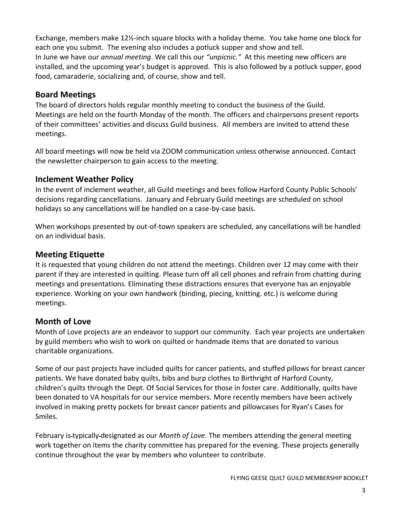Exchange, members make 12½-inch square blocks with a holiday theme. You take home one block for each one you submit. The evening also includes a potluck supper and show and tell. In June we have our *annual meeting*. We call this our *"unpicnic."* At this meeting new officers are installed, and the upcoming year's budget is approved. This is also followed by a potluck supper, good food, camaraderie, socializing and, of course, show and tell.

### **Board Meetings**

The board of directors holds regular monthly meeting to conduct the business of the Guild. Meetings are held on the fourth Monday of the month. The officers and chairpersons present reports of their committees' activities and discuss Guild business. All members are invited to attend these meetings.

All board meetings will now be held via ZOOM communication unless otherwise announced. Contact the newsletter chairperson to gain access to the meeting.

# **Inclement Weather Policy**

In the event of inclement weather, all Guild meetings and bees follow Harford County Public Schools' decisions regarding cancellations. January and February Guild meetings are scheduled on school holidays so any cancellations will be handled on a case-by-case basis.

When workshops presented by out-of-town speakers are scheduled, any cancellations will be handled on an individual basis.

# **Meeting Etiquette**

It is requested that young children do not attend the meetings. Children over 12 may come with their parent if they are interested in quilting. Please turn off all cell phones and refrain from chatting during meetings and presentations. Eliminating these distractions ensures that everyone has an enjoyable experience. Working on your own handwork (binding, piecing, knitting. etc.) is welcome during meetings.

# **Month of Love**

Month of Love projects are an endeavor to support our community. Each year projects are undertaken by guild members who wish to work on quilted or handmade items that are donated to various charitable organizations.

Some of our past projects have included quilts for cancer patients, and stuffed pillows for breast cancer patients. We have donated baby quilts, bibs and burp clothes to Birthright of Harford County, children's quilts through the Dept. Of Social Services for those in foster care. Additionally, quilts have been donated to VA hospitals for our service members. More recently members have been actively involved in making pretty pockets for breast cancer patients and pillowcases for Ryan's Cases for Smiles.

February is typically designated as our *Month of Love.* The members attending the general meeting work together on items the charity committee has prepared for the evening. These projects generally continue throughout the year by members who volunteer to contribute.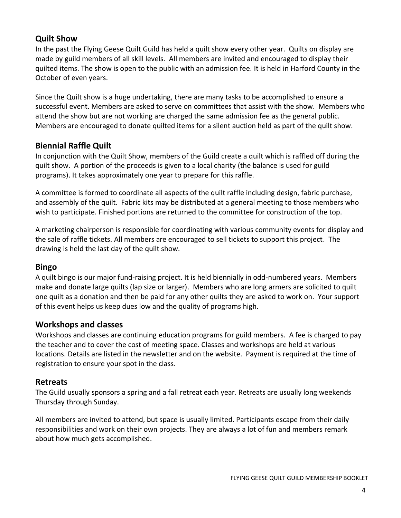# **Quilt Show**

In the past the Flying Geese Quilt Guild has held a quilt show every other year. Quilts on display are made by guild members of all skill levels. All members are invited and encouraged to display their quilted items. The show is open to the public with an admission fee. It is held in Harford County in the October of even years.

Since the Quilt show is a huge undertaking, there are many tasks to be accomplished to ensure a successful event. Members are asked to serve on committees that assist with the show. Members who attend the show but are not working are charged the same admission fee as the general public. Members are encouraged to donate quilted items for a silent auction held as part of the quilt show.

# **Biennial Raffle Quilt**

In conjunction with the Quilt Show, members of the Guild create a quilt which is raffled off during the quilt show. A portion of the proceeds is given to a local charity (the balance is used for guild programs). It takes approximately one year to prepare for this raffle.

A committee is formed to coordinate all aspects of the quilt raffle including design, fabric purchase, and assembly of the quilt. Fabric kits may be distributed at a general meeting to those members who wish to participate. Finished portions are returned to the committee for construction of the top.

A marketing chairperson is responsible for coordinating with various community events for display and the sale of raffle tickets. All members are encouraged to sell tickets to support this project. The drawing is held the last day of the quilt show.

# **Bingo**

A quilt bingo is our major fund-raising project. It is held biennially in odd-numbered years. Members make and donate large quilts (lap size or larger). Members who are long armers are solicited to quilt one quilt as a donation and then be paid for any other quilts they are asked to work on. Your support of this event helps us keep dues low and the quality of programs high.

# **Workshops and classes**

Workshops and classes are continuing education programs for guild members. A fee is charged to pay the teacher and to cover the cost of meeting space. Classes and workshops are held at various locations. Details are listed in the newsletter and on the website. Payment is required at the time of registration to ensure your spot in the class.

#### **Retreats**

The Guild usually sponsors a spring and a fall retreat each year. Retreats are usually long weekends Thursday through Sunday.

All members are invited to attend, but space is usually limited. Participants escape from their daily responsibilities and work on their own projects. They are always a lot of fun and members remark about how much gets accomplished.